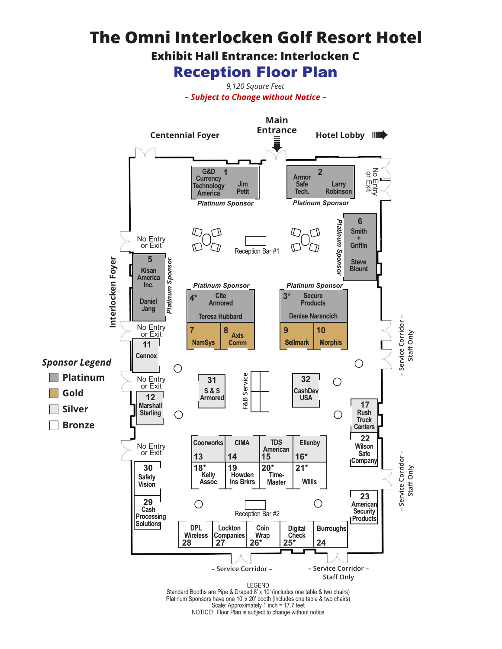## **The Omni Interlocken Golf Resort Hotel**

**Exhibit Hall Entrance: Interlocken C**

**Rec**eption Floor Plan

*9,120 Square Feet – Subject to Change without Notice –*

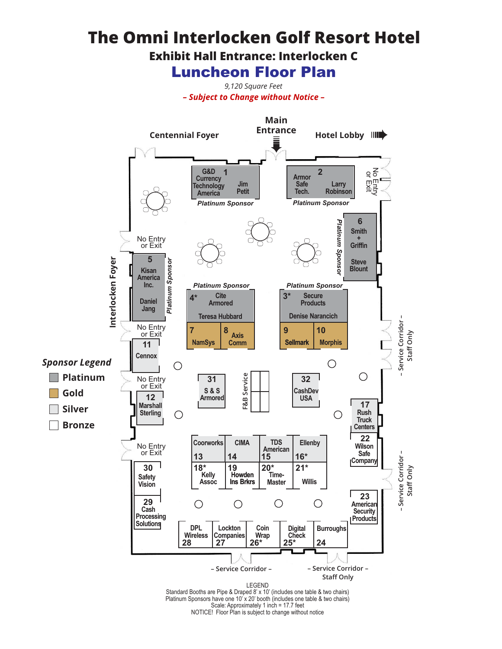## **The Omni Interlocken Golf Resort Hotel**

**Exhibit Hall Entrance: Interlocken C**

Luncheon Floor Plan

*9,120 Square Feet – Subject to Change without Notice –*



NOTICE! Floor Plan is subject to change without notice